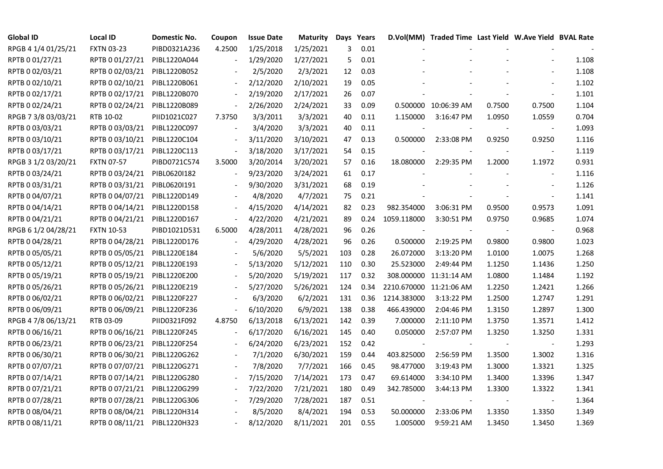| <b>Global ID</b>    | <b>Local ID</b>   | Domestic No. | Coupon                   | <b>Issue Date</b> | <b>Maturity</b> |     | Days Years |                         | D.Vol(MM) Traded Time Last Yield W.Ave Yield BVAL Rate |        |                          |       |
|---------------------|-------------------|--------------|--------------------------|-------------------|-----------------|-----|------------|-------------------------|--------------------------------------------------------|--------|--------------------------|-------|
| RPGB 4 1/4 01/25/21 | <b>FXTN 03-23</b> | PIBD0321A236 | 4.2500                   | 1/25/2018         | 1/25/2021       | 3   | 0.01       |                         |                                                        |        |                          |       |
| RPTB 0 01/27/21     | RPTB 0 01/27/21   | PIBL1220A044 |                          | 1/29/2020         | 1/27/2021       | 5   | 0.01       |                         |                                                        |        |                          | 1.108 |
| RPTB 0 02/03/21     | RPTB 0 02/03/21   | PIBL1220B052 |                          | 2/5/2020          | 2/3/2021        | 12  | 0.03       |                         |                                                        |        |                          | 1.108 |
| RPTB 0 02/10/21     | RPTB 0 02/10/21   | PIBL1220B061 |                          | 2/12/2020         | 2/10/2021       | 19  | 0.05       |                         |                                                        |        |                          | 1.102 |
| RPTB 0 02/17/21     | RPTB 0 02/17/21   | PIBL1220B070 | $\blacksquare$           | 2/19/2020         | 2/17/2021       | 26  | 0.07       |                         |                                                        |        |                          | 1.101 |
| RPTB 0 02/24/21     | RPTB 0 02/24/21   | PIBL1220B089 | $\sim$                   | 2/26/2020         | 2/24/2021       | 33  | 0.09       |                         | 0.500000 10:06:39 AM                                   | 0.7500 | 0.7500                   | 1.104 |
| RPGB 7 3/8 03/03/21 | RTB 10-02         | PIID1021C027 | 7.3750                   | 3/3/2011          | 3/3/2021        | 40  | 0.11       | 1.150000                | 3:16:47 PM                                             | 1.0950 | 1.0559                   | 0.704 |
| RPTB 0 03/03/21     | RPTB 0 03/03/21   | PIBL1220C097 |                          | 3/4/2020          | 3/3/2021        | 40  | 0.11       |                         |                                                        |        | $\overline{\phantom{a}}$ | 1.093 |
| RPTB 0 03/10/21     | RPTB 0 03/10/21   | PIBL1220C104 |                          | 3/11/2020         | 3/10/2021       | 47  | 0.13       | 0.500000                | 2:33:08 PM                                             | 0.9250 | 0.9250                   | 1.116 |
| RPTB 0 03/17/21     | RPTB 0 03/17/21   | PIBL1220C113 |                          | 3/18/2020         | 3/17/2021       | 54  | 0.15       |                         |                                                        |        |                          | 1.119 |
| RPGB 3 1/2 03/20/21 | <b>FXTN 07-57</b> | PIBD0721C574 | 3.5000                   | 3/20/2014         | 3/20/2021       | 57  | 0.16       | 18.080000               | 2:29:35 PM                                             | 1.2000 | 1.1972                   | 0.931 |
| RPTB 0 03/24/21     | RPTB 0 03/24/21   | PIBL0620I182 |                          | 9/23/2020         | 3/24/2021       | 61  | 0.17       |                         |                                                        |        | $\blacksquare$           | 1.116 |
| RPTB 0 03/31/21     | RPTB 0 03/31/21   | PIBL0620I191 |                          | 9/30/2020         | 3/31/2021       | 68  | 0.19       |                         |                                                        |        |                          | 1.126 |
| RPTB 0 04/07/21     | RPTB 0 04/07/21   | PIBL1220D149 |                          | 4/8/2020          | 4/7/2021        | 75  | 0.21       |                         |                                                        |        | $\blacksquare$           | 1.141 |
| RPTB 0 04/14/21     | RPTB 0 04/14/21   | PIBL1220D158 |                          | 4/15/2020         | 4/14/2021       | 82  | 0.23       | 982.354000              | 3:06:31 PM                                             | 0.9500 | 0.9573                   | 1.091 |
| RPTB 0 04/21/21     | RPTB 0 04/21/21   | PIBL1220D167 |                          | 4/22/2020         | 4/21/2021       | 89  | 0.24       | 1059.118000             | 3:30:51 PM                                             | 0.9750 | 0.9685                   | 1.074 |
| RPGB 6 1/2 04/28/21 | <b>FXTN 10-53</b> | PIBD1021D531 | 6.5000                   | 4/28/2011         | 4/28/2021       | 96  | 0.26       |                         |                                                        |        |                          | 0.968 |
| RPTB 0 04/28/21     | RPTB 0 04/28/21   | PIBL1220D176 | $\overline{a}$           | 4/29/2020         | 4/28/2021       | 96  | 0.26       | 0.500000                | 2:19:25 PM                                             | 0.9800 | 0.9800                   | 1.023 |
| RPTB 0 05/05/21     | RPTB 0 05/05/21   | PIBL1220E184 |                          | 5/6/2020          | 5/5/2021        | 103 | 0.28       | 26.072000               | 3:13:20 PM                                             | 1.0100 | 1.0075                   | 1.268 |
| RPTB 0 05/12/21     | RPTB 0 05/12/21   | PIBL1220E193 |                          | 5/13/2020         | 5/12/2021       | 110 | 0.30       | 25.523000               | 2:49:44 PM                                             | 1.1250 | 1.1436                   | 1.250 |
| RPTB 0 05/19/21     | RPTB 0 05/19/21   | PIBL1220E200 |                          | 5/20/2020         | 5/19/2021       | 117 | 0.32       |                         | 308.000000 11:31:14 AM                                 | 1.0800 | 1.1484                   | 1.192 |
| RPTB 0 05/26/21     | RPTB 0 05/26/21   | PIBL1220E219 |                          | 5/27/2020         | 5/26/2021       | 124 | 0.34       | 2210.670000 11:21:06 AM |                                                        | 1.2250 | 1.2421                   | 1.266 |
| RPTB 0 06/02/21     | RPTB 0 06/02/21   | PIBL1220F227 |                          | 6/3/2020          | 6/2/2021        | 131 | 0.36       | 1214.383000             | 3:13:22 PM                                             | 1.2500 | 1.2747                   | 1.291 |
| RPTB 0 06/09/21     | RPTB 0 06/09/21   | PIBL1220F236 | $\blacksquare$           | 6/10/2020         | 6/9/2021        | 138 | 0.38       | 466.439000              | 2:04:46 PM                                             | 1.3150 | 1.2897                   | 1.300 |
| RPGB 4 7/8 06/13/21 | RTB 03-09         | PIID0321F092 | 4.8750                   | 6/13/2018         | 6/13/2021       | 142 | 0.39       | 7.000000                | 2:11:10 PM                                             | 1.3750 | 1.3571                   | 1.412 |
| RPTB 0 06/16/21     | RPTB 0 06/16/21   | PIBL1220F245 | $\overline{a}$           | 6/17/2020         | 6/16/2021       | 145 | 0.40       | 0.050000                | 2:57:07 PM                                             | 1.3250 | 1.3250                   | 1.331 |
| RPTB 0 06/23/21     | RPTB 0 06/23/21   | PIBL1220F254 |                          | 6/24/2020         | 6/23/2021       | 152 | 0.42       |                         |                                                        |        | $\blacksquare$           | 1.293 |
| RPTB 0 06/30/21     | RPTB 0 06/30/21   | PIBL1220G262 |                          | 7/1/2020          | 6/30/2021       | 159 | 0.44       | 403.825000              | 2:56:59 PM                                             | 1.3500 | 1.3002                   | 1.316 |
| RPTB 0 07/07/21     | RPTB 0 07/07/21   | PIBL1220G271 |                          | 7/8/2020          | 7/7/2021        | 166 | 0.45       | 98.477000               | 3:19:43 PM                                             | 1.3000 | 1.3321                   | 1.325 |
| RPTB 0 07/14/21     | RPTB 0 07/14/21   | PIBL1220G280 |                          | 7/15/2020         | 7/14/2021       | 173 | 0.47       | 69.614000               | 3:34:10 PM                                             | 1.3400 | 1.3396                   | 1.347 |
| RPTB 0 07/21/21     | RPTB 0 07/21/21   | PIBL1220G299 |                          | 7/22/2020         | 7/21/2021       | 180 | 0.49       | 342.785000              | 3:44:13 PM                                             | 1.3300 | 1.3322                   | 1.341 |
| RPTB 0 07/28/21     | RPTB 0 07/28/21   | PIBL1220G306 | $\overline{\phantom{a}}$ | 7/29/2020         | 7/28/2021       | 187 | 0.51       |                         |                                                        |        | $\overline{\phantom{a}}$ | 1.364 |
| RPTB 0 08/04/21     | RPTB 0 08/04/21   | PIBL1220H314 |                          | 8/5/2020          | 8/4/2021        | 194 | 0.53       | 50.000000               | 2:33:06 PM                                             | 1.3350 | 1.3350                   | 1.349 |
| RPTB 0 08/11/21     | RPTB 0 08/11/21   | PIBL1220H323 |                          | 8/12/2020         | 8/11/2021       | 201 | 0.55       | 1.005000                | 9:59:21 AM                                             | 1.3450 | 1.3450                   | 1.369 |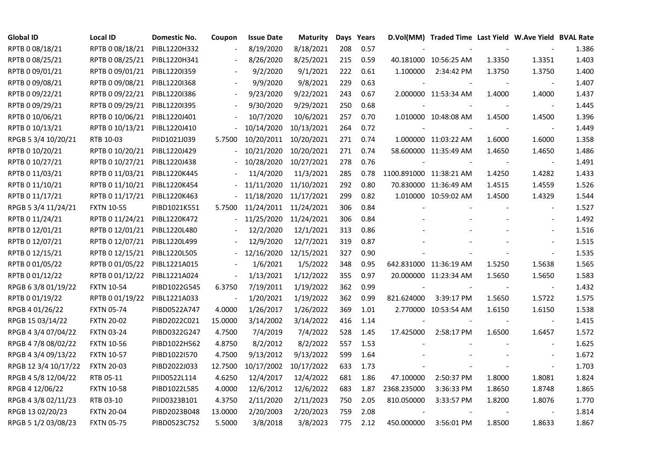| <b>Global ID</b>     | Local ID          | Domestic No. | Coupon                   | <b>Issue Date</b> | <b>Maturity</b> |     | Days Years |                         | D.Vol(MM) Traded Time Last Yield W.Ave Yield BVAL Rate |                          |                |       |
|----------------------|-------------------|--------------|--------------------------|-------------------|-----------------|-----|------------|-------------------------|--------------------------------------------------------|--------------------------|----------------|-------|
| RPTB 0 08/18/21      | RPTB 0 08/18/21   | PIBL1220H332 |                          | 8/19/2020         | 8/18/2021       | 208 | 0.57       |                         |                                                        |                          |                | 1.386 |
| RPTB 0 08/25/21      | RPTB 0 08/25/21   | PIBL1220H341 |                          | 8/26/2020         | 8/25/2021       | 215 | 0.59       |                         | 40.181000 10:56:25 AM                                  | 1.3350                   | 1.3351         | 1.403 |
| RPTB 0 09/01/21      | RPTB 0 09/01/21   | PIBL1220I359 |                          | 9/2/2020          | 9/1/2021        | 222 | 0.61       | 1.100000                | 2:34:42 PM                                             | 1.3750                   | 1.3750         | 1.400 |
| RPTB 0 09/08/21      | RPTB 0 09/08/21   | PIBL1220I368 | $\blacksquare$           | 9/9/2020          | 9/8/2021        | 229 | 0.63       |                         |                                                        |                          | $\blacksquare$ | 1.407 |
| RPTB 0 09/22/21      | RPTB 0 09/22/21   | PIBL1220I386 | $\overline{\phantom{a}}$ | 9/23/2020         | 9/22/2021       | 243 | 0.67       |                         | 2.000000 11:53:34 AM                                   | 1.4000                   | 1.4000         | 1.437 |
| RPTB 0 09/29/21      | RPTB 0 09/29/21   | PIBL12201395 |                          | 9/30/2020         | 9/29/2021       | 250 | 0.68       |                         |                                                        |                          |                | 1.445 |
| RPTB 0 10/06/21      | RPTB 0 10/06/21   | PIBL1220J401 |                          | 10/7/2020         | 10/6/2021       | 257 | 0.70       |                         | 1.010000 10:48:08 AM                                   | 1.4500                   | 1.4500         | 1.396 |
| RPTB 0 10/13/21      | RPTB 0 10/13/21   | PIBL1220J410 |                          | 10/14/2020        | 10/13/2021      | 264 | 0.72       |                         |                                                        |                          |                | 1.449 |
| RPGB 5 3/4 10/20/21  | RTB 10-03         | PIID1021J039 | 5.7500                   | 10/20/2011        | 10/20/2021      | 271 | 0.74       |                         | 1.000000 11:03:22 AM                                   | 1.6000                   | 1.6000         | 1.358 |
| RPTB 0 10/20/21      | RPTB 0 10/20/21   | PIBL1220J429 |                          | 10/21/2020        | 10/20/2021      | 271 | 0.74       |                         | 58.600000 11:35:49 AM                                  | 1.4650                   | 1.4650         | 1.486 |
| RPTB 0 10/27/21      | RPTB 0 10/27/21   | PIBL1220J438 |                          | 10/28/2020        | 10/27/2021      | 278 | 0.76       |                         |                                                        |                          | $\blacksquare$ | 1.491 |
| RPTB 0 11/03/21      | RPTB 0 11/03/21   | PIBL1220K445 |                          | 11/4/2020         | 11/3/2021       | 285 | 0.78       | 1100.891000 11:38:21 AM |                                                        | 1.4250                   | 1.4282         | 1.433 |
| RPTB 0 11/10/21      | RPTB 0 11/10/21   | PIBL1220K454 |                          | 11/11/2020        | 11/10/2021      | 292 | 0.80       |                         | 70.830000 11:36:49 AM                                  | 1.4515                   | 1.4559         | 1.526 |
| RPTB 0 11/17/21      | RPTB 0 11/17/21   | PIBL1220K463 |                          | 11/18/2020        | 11/17/2021      | 299 | 0.82       |                         | 1.010000 10:59:02 AM                                   | 1.4500                   | 1.4329         | 1.544 |
| RPGB 5 3/4 11/24/21  | <b>FXTN 10-55</b> | PIBD1021K551 | 5.7500                   | 11/24/2011        | 11/24/2021      | 306 | 0.84       |                         |                                                        |                          |                | 1.527 |
| RPTB 0 11/24/21      | RPTB 0 11/24/21   | PIBL1220K472 |                          | 11/25/2020        | 11/24/2021      | 306 | 0.84       |                         |                                                        |                          |                | 1.492 |
| RPTB 0 12/01/21      | RPTB 0 12/01/21   | PIBL1220L480 |                          | 12/2/2020         | 12/1/2021       | 313 | 0.86       |                         |                                                        |                          |                | 1.516 |
| RPTB 0 12/07/21      | RPTB 0 12/07/21   | PIBL1220L499 | $\overline{\phantom{a}}$ | 12/9/2020         | 12/7/2021       | 319 | 0.87       |                         |                                                        |                          |                | 1.515 |
| RPTB 0 12/15/21      | RPTB 0 12/15/21   | PIBL1220L505 | $\blacksquare$           | 12/16/2020        | 12/15/2021      | 327 | 0.90       |                         |                                                        |                          |                | 1.535 |
| RPTB 0 01/05/22      | RPTB 0 01/05/22   | PIBL1221A015 |                          | 1/6/2021          | 1/5/2022        | 348 | 0.95       |                         | 642.831000 11:36:19 AM                                 | 1.5250                   | 1.5638         | 1.565 |
| RPTB 0 01/12/22      | RPTB 0 01/12/22   | PIBL1221A024 | $\overline{\phantom{a}}$ | 1/13/2021         | 1/12/2022       | 355 | 0.97       |                         | 20.000000 11:23:34 AM                                  | 1.5650                   | 1.5650         | 1.583 |
| RPGB 63/8 01/19/22   | <b>FXTN 10-54</b> | PIBD1022G545 | 6.3750                   | 7/19/2011         | 1/19/2022       | 362 | 0.99       | $\blacksquare$          |                                                        | $\overline{\phantom{a}}$ | $\sim$         | 1.432 |
| RPTB 0 01/19/22      | RPTB 0 01/19/22   | PIBL1221A033 |                          | 1/20/2021         | 1/19/2022       | 362 | 0.99       | 821.624000              | 3:39:17 PM                                             | 1.5650                   | 1.5722         | 1.575 |
| RPGB 4 01/26/22      | <b>FXTN 05-74</b> | PIBD0522A747 | 4.0000                   | 1/26/2017         | 1/26/2022       | 369 | 1.01       |                         | 2.770000 10:53:54 AM                                   | 1.6150                   | 1.6150         | 1.538 |
| RPGB 15 03/14/22     | <b>FXTN 20-02</b> | PIBD2022C021 | 15.0000                  | 3/14/2002         | 3/14/2022       | 416 | 1.14       |                         |                                                        |                          | $\blacksquare$ | 1.415 |
| RPGB 4 3/4 07/04/22  | <b>FXTN 03-24</b> | PIBD0322G247 | 4.7500                   | 7/4/2019          | 7/4/2022        | 528 | 1.45       | 17.425000               | 2:58:17 PM                                             | 1.6500                   | 1.6457         | 1.572 |
| RPGB 4 7/8 08/02/22  | <b>FXTN 10-56</b> | PIBD1022H562 | 4.8750                   | 8/2/2012          | 8/2/2022        | 557 | 1.53       |                         |                                                        |                          | $\blacksquare$ | 1.625 |
| RPGB 4 3/4 09/13/22  | <b>FXTN 10-57</b> | PIBD1022I570 | 4.7500                   | 9/13/2012         | 9/13/2022       | 599 | 1.64       |                         |                                                        |                          | $\sim$         | 1.672 |
| RPGB 12 3/4 10/17/22 | <b>FXTN 20-03</b> | PIBD2022J033 | 12.7500                  | 10/17/2002        | 10/17/2022      | 633 | 1.73       |                         |                                                        |                          | $\blacksquare$ | 1.703 |
| RPGB 4 5/8 12/04/22  | RTB 05-11         | PIID0522L114 | 4.6250                   | 12/4/2017         | 12/4/2022       | 681 | 1.86       | 47.100000               | 2:50:37 PM                                             | 1.8000                   | 1.8081         | 1.824 |
| RPGB 4 12/06/22      | <b>FXTN 10-58</b> | PIBD1022L585 | 4.0000                   | 12/6/2012         | 12/6/2022       | 683 | 1.87       | 2368.235000             | 3:36:33 PM                                             | 1.8650                   | 1.8748         | 1.865 |
| RPGB 4 3/8 02/11/23  | RTB 03-10         | PIID0323B101 | 4.3750                   | 2/11/2020         | 2/11/2023       | 750 | 2.05       | 810.050000              | 3:33:57 PM                                             | 1.8200                   | 1.8076         | 1.770 |
| RPGB 13 02/20/23     | <b>FXTN 20-04</b> | PIBD2023B048 | 13.0000                  | 2/20/2003         | 2/20/2023       | 759 | 2.08       |                         |                                                        |                          |                | 1.814 |
| RPGB 5 1/2 03/08/23  | <b>FXTN 05-75</b> | PIBD0523C752 | 5.5000                   | 3/8/2018          | 3/8/2023        | 775 | 2.12       | 450.000000              | 3:56:01 PM                                             | 1.8500                   | 1.8633         | 1.867 |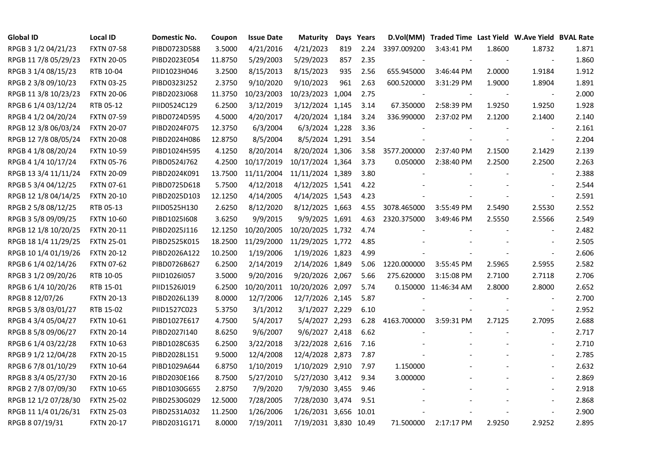| <b>Global ID</b>     | <b>Local ID</b>   | Domestic No. | Coupon  | <b>Issue Date</b> | <b>Maturity</b>       |     | Days Years |             | D.Vol(MM) Traded Time Last Yield W.Ave Yield BVAL Rate |        |                          |       |
|----------------------|-------------------|--------------|---------|-------------------|-----------------------|-----|------------|-------------|--------------------------------------------------------|--------|--------------------------|-------|
| RPGB 3 1/2 04/21/23  | <b>FXTN 07-58</b> | PIBD0723D588 | 3.5000  | 4/21/2016         | 4/21/2023             | 819 | 2.24       | 3397.009200 | 3:43:41 PM                                             | 1.8600 | 1.8732                   | 1.871 |
| RPGB 11 7/8 05/29/23 | <b>FXTN 20-05</b> | PIBD2023E054 | 11.8750 | 5/29/2003         | 5/29/2023             | 857 | 2.35       |             |                                                        |        |                          | 1.860 |
| RPGB 3 1/4 08/15/23  | RTB 10-04         | PIID1023H046 | 3.2500  | 8/15/2013         | 8/15/2023             | 935 | 2.56       | 655.945000  | 3:46:44 PM                                             | 2.0000 | 1.9184                   | 1.912 |
| RPGB 2 3/8 09/10/23  | <b>FXTN 03-25</b> | PIBD0323I252 | 2.3750  | 9/10/2020         | 9/10/2023             | 961 | 2.63       | 600.520000  | 3:31:29 PM                                             | 1.9000 | 1.8904                   | 1.891 |
| RPGB 11 3/8 10/23/23 | <b>FXTN 20-06</b> | PIBD2023J068 | 11.3750 | 10/23/2003        | 10/23/2023 1,004      |     | 2.75       |             |                                                        |        | $\overline{\phantom{a}}$ | 2.000 |
| RPGB 6 1/4 03/12/24  | RTB 05-12         | PIID0524C129 | 6.2500  | 3/12/2019         | 3/12/2024 1,145       |     | 3.14       | 67.350000   | 2:58:39 PM                                             | 1.9250 | 1.9250                   | 1.928 |
| RPGB 4 1/2 04/20/24  | <b>FXTN 07-59</b> | PIBD0724D595 | 4.5000  | 4/20/2017         | 4/20/2024 1,184       |     | 3.24       | 336.990000  | 2:37:02 PM                                             | 2.1200 | 2.1400                   | 2.140 |
| RPGB 12 3/8 06/03/24 | <b>FXTN 20-07</b> | PIBD2024F075 | 12.3750 | 6/3/2004          | 6/3/2024 1,228        |     | 3.36       |             |                                                        |        |                          | 2.161 |
| RPGB 12 7/8 08/05/24 | <b>FXTN 20-08</b> | PIBD2024H086 | 12.8750 | 8/5/2004          | 8/5/2024 1,291        |     | 3.54       |             |                                                        |        |                          | 2.204 |
| RPGB 4 1/8 08/20/24  | <b>FXTN 10-59</b> | PIBD1024H595 | 4.1250  | 8/20/2014         | 8/20/2024 1,306       |     | 3.58       | 3577.200000 | 2:37:40 PM                                             | 2.1500 | 2.1429                   | 2.139 |
| RPGB 4 1/4 10/17/24  | <b>FXTN 05-76</b> | PIBD0524J762 | 4.2500  | 10/17/2019        | 10/17/2024 1,364      |     | 3.73       | 0.050000    | 2:38:40 PM                                             | 2.2500 | 2.2500                   | 2.263 |
| RPGB 13 3/4 11/11/24 | <b>FXTN 20-09</b> | PIBD2024K091 | 13.7500 | 11/11/2004        | 11/11/2024 1,389      |     | 3.80       |             |                                                        |        | $\blacksquare$           | 2.388 |
| RPGB 5 3/4 04/12/25  | <b>FXTN 07-61</b> | PIBD0725D618 | 5.7500  | 4/12/2018         | 4/12/2025 1,541       |     | 4.22       |             |                                                        |        |                          | 2.544 |
| RPGB 12 1/8 04/14/25 | <b>FXTN 20-10</b> | PIBD2025D103 | 12.1250 | 4/14/2005         | 4/14/2025 1,543       |     | 4.23       |             |                                                        |        | $\blacksquare$           | 2.591 |
| RPGB 2 5/8 08/12/25  | RTB 05-13         | PIID0525H130 | 2.6250  | 8/12/2020         | 8/12/2025 1,663       |     | 4.55       | 3078.465000 | 3:55:49 PM                                             | 2.5490 | 2.5530                   | 2.552 |
| RPGB 3 5/8 09/09/25  | <b>FXTN 10-60</b> | PIBD10251608 | 3.6250  | 9/9/2015          | 9/9/2025 1,691        |     | 4.63       | 2320.375000 | 3:49:46 PM                                             | 2.5550 | 2.5566                   | 2.549 |
| RPGB 12 1/8 10/20/25 | <b>FXTN 20-11</b> | PIBD2025J116 | 12.1250 | 10/20/2005        | 10/20/2025 1,732      |     | 4.74       |             |                                                        |        |                          | 2.482 |
| RPGB 18 1/4 11/29/25 | <b>FXTN 25-01</b> | PIBD2525K015 | 18.2500 | 11/29/2000        | 11/29/2025 1,772      |     | 4.85       |             |                                                        |        |                          | 2.505 |
| RPGB 10 1/4 01/19/26 | <b>FXTN 20-12</b> | PIBD2026A122 | 10.2500 | 1/19/2006         | 1/19/2026 1,823       |     | 4.99       |             |                                                        |        |                          | 2.606 |
| RPGB 6 1/4 02/14/26  | <b>FXTN 07-62</b> | PIBD0726B627 | 6.2500  | 2/14/2019         | 2/14/2026 1,849       |     | 5.06       | 1220.000000 | 3:55:45 PM                                             | 2.5965 | 2.5955                   | 2.582 |
| RPGB 3 1/2 09/20/26  | RTB 10-05         | PIID1026I057 | 3.5000  | 9/20/2016         | 9/20/2026 2,067       |     | 5.66       | 275.620000  | 3:15:08 PM                                             | 2.7100 | 2.7118                   | 2.706 |
| RPGB 6 1/4 10/20/26  | RTB 15-01         | PIID1526J019 | 6.2500  | 10/20/2011        | 10/20/2026 2,097      |     | 5.74       |             | 0.150000 11:46:34 AM                                   | 2.8000 | 2.8000                   | 2.652 |
| RPGB 8 12/07/26      | <b>FXTN 20-13</b> | PIBD2026L139 | 8.0000  | 12/7/2006         | 12/7/2026 2,145       |     | 5.87       |             |                                                        |        |                          | 2.700 |
| RPGB 5 3/8 03/01/27  | RTB 15-02         | PIID1527C023 | 5.3750  | 3/1/2012          | 3/1/2027 2,229        |     | 6.10       |             |                                                        |        | $\overline{\phantom{a}}$ | 2.952 |
| RPGB 4 3/4 05/04/27  | <b>FXTN 10-61</b> | PIBD1027E617 | 4.7500  | 5/4/2017          | 5/4/2027 2,293        |     | 6.28       | 4163.700000 | 3:59:31 PM                                             | 2.7125 | 2.7095                   | 2.688 |
| RPGB 8 5/8 09/06/27  | <b>FXTN 20-14</b> | PIBD2027I140 | 8.6250  | 9/6/2007          | 9/6/2027 2,418        |     | 6.62       |             |                                                        |        | $\blacksquare$           | 2.717 |
| RPGB 6 1/4 03/22/28  | <b>FXTN 10-63</b> | PIBD1028C635 | 6.2500  | 3/22/2018         | 3/22/2028 2,616       |     | 7.16       |             |                                                        |        | $\blacksquare$           | 2.710 |
| RPGB 9 1/2 12/04/28  | <b>FXTN 20-15</b> | PIBD2028L151 | 9.5000  | 12/4/2008         | 12/4/2028 2,873       |     | 7.87       |             |                                                        |        | $\blacksquare$           | 2.785 |
| RPGB 67/8 01/10/29   | <b>FXTN 10-64</b> | PIBD1029A644 | 6.8750  | 1/10/2019         | 1/10/2029 2,910       |     | 7.97       | 1.150000    |                                                        |        | $\sim$                   | 2.632 |
| RPGB 8 3/4 05/27/30  | <b>FXTN 20-16</b> | PIBD2030E166 | 8.7500  | 5/27/2010         | 5/27/2030 3,412       |     | 9.34       | 3.000000    |                                                        |        |                          | 2.869 |
| RPGB 2 7/8 07/09/30  | <b>FXTN 10-65</b> | PIBD1030G655 | 2.8750  | 7/9/2020          | 7/9/2030 3,455        |     | 9.46       |             |                                                        |        |                          | 2.918 |
| RPGB 12 1/2 07/28/30 | <b>FXTN 25-02</b> | PIBD2530G029 | 12.5000 | 7/28/2005         | 7/28/2030 3,474       |     | 9.51       |             |                                                        |        |                          | 2.868 |
| RPGB 11 1/4 01/26/31 | <b>FXTN 25-03</b> | PIBD2531A032 | 11.2500 | 1/26/2006         | 1/26/2031 3,656 10.01 |     |            |             |                                                        |        | $\blacksquare$           | 2.900 |
| RPGB 8 07/19/31      | <b>FXTN 20-17</b> | PIBD2031G171 | 8.0000  | 7/19/2011         | 7/19/2031 3,830 10.49 |     |            | 71.500000   | 2:17:17 PM                                             | 2.9250 | 2.9252                   | 2.895 |